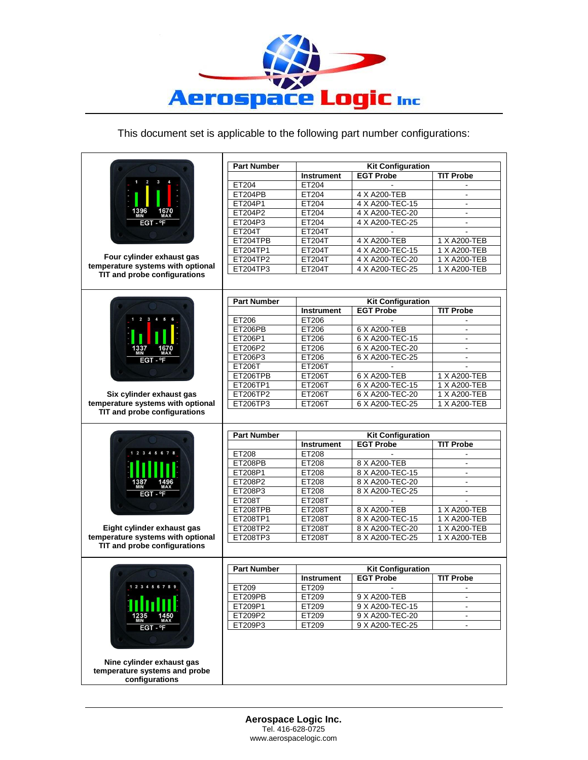

## This document set is applicable to the following part number configurations:

| ET204<br><b>ET204PB</b><br>ET204P1<br>ET204P2<br>ET204P3<br><b>ET204T</b><br>ET204TPB<br>FT204TP1<br>ET204TP2<br>ET204TP3<br><b>Part Number</b><br>ET206<br><b>ET206PB</b><br>ET206P1<br>ET206P2<br>ET206P3<br><b>ET206T</b> | <b>Instrument</b><br>ET204<br>ET204<br>ET204<br>ET204<br>ET204<br>ET204T<br>ET204T<br>ET204T<br>ET204T<br>ET204T<br><b>Instrument</b><br>ET206<br>ET206<br>ET206<br>ET206 | <b>Kit Configuration</b><br><b>EGT Probe</b><br>4 X A200-TEB<br>4 X A200-TEC-15<br>4 X A200-TEC-20<br>4 X A200-TEC-25<br>4 X A200-TEB<br>4 X A200-TEC-15<br>4 X A200-TEC-20<br>4 X A200-TEC-25<br><b>Kit Configuration</b><br><b>EGT Probe</b><br>6 X A200-TEB<br>6 X A200-TEC-15 | <b>TIT Probe</b><br>۰.<br>1 X A200-TEB<br>1 X A200-TEB<br>1 X A200-TEB<br>1 X A200-TEB<br><b>TIT Probe</b>                                                                                               |
|------------------------------------------------------------------------------------------------------------------------------------------------------------------------------------------------------------------------------|---------------------------------------------------------------------------------------------------------------------------------------------------------------------------|-----------------------------------------------------------------------------------------------------------------------------------------------------------------------------------------------------------------------------------------------------------------------------------|----------------------------------------------------------------------------------------------------------------------------------------------------------------------------------------------------------|
|                                                                                                                                                                                                                              |                                                                                                                                                                           |                                                                                                                                                                                                                                                                                   |                                                                                                                                                                                                          |
|                                                                                                                                                                                                                              |                                                                                                                                                                           |                                                                                                                                                                                                                                                                                   |                                                                                                                                                                                                          |
|                                                                                                                                                                                                                              |                                                                                                                                                                           |                                                                                                                                                                                                                                                                                   |                                                                                                                                                                                                          |
|                                                                                                                                                                                                                              |                                                                                                                                                                           |                                                                                                                                                                                                                                                                                   |                                                                                                                                                                                                          |
|                                                                                                                                                                                                                              |                                                                                                                                                                           |                                                                                                                                                                                                                                                                                   |                                                                                                                                                                                                          |
|                                                                                                                                                                                                                              |                                                                                                                                                                           |                                                                                                                                                                                                                                                                                   |                                                                                                                                                                                                          |
|                                                                                                                                                                                                                              |                                                                                                                                                                           |                                                                                                                                                                                                                                                                                   |                                                                                                                                                                                                          |
|                                                                                                                                                                                                                              |                                                                                                                                                                           |                                                                                                                                                                                                                                                                                   |                                                                                                                                                                                                          |
|                                                                                                                                                                                                                              |                                                                                                                                                                           |                                                                                                                                                                                                                                                                                   |                                                                                                                                                                                                          |
|                                                                                                                                                                                                                              |                                                                                                                                                                           |                                                                                                                                                                                                                                                                                   |                                                                                                                                                                                                          |
|                                                                                                                                                                                                                              |                                                                                                                                                                           |                                                                                                                                                                                                                                                                                   |                                                                                                                                                                                                          |
|                                                                                                                                                                                                                              |                                                                                                                                                                           |                                                                                                                                                                                                                                                                                   |                                                                                                                                                                                                          |
|                                                                                                                                                                                                                              |                                                                                                                                                                           |                                                                                                                                                                                                                                                                                   |                                                                                                                                                                                                          |
|                                                                                                                                                                                                                              |                                                                                                                                                                           |                                                                                                                                                                                                                                                                                   |                                                                                                                                                                                                          |
|                                                                                                                                                                                                                              |                                                                                                                                                                           |                                                                                                                                                                                                                                                                                   |                                                                                                                                                                                                          |
|                                                                                                                                                                                                                              |                                                                                                                                                                           |                                                                                                                                                                                                                                                                                   |                                                                                                                                                                                                          |
|                                                                                                                                                                                                                              |                                                                                                                                                                           |                                                                                                                                                                                                                                                                                   |                                                                                                                                                                                                          |
|                                                                                                                                                                                                                              |                                                                                                                                                                           | 6 X A200-TEC-20                                                                                                                                                                                                                                                                   | ÷.                                                                                                                                                                                                       |
|                                                                                                                                                                                                                              | ET206                                                                                                                                                                     | 6 X A200-TEC-25                                                                                                                                                                                                                                                                   |                                                                                                                                                                                                          |
|                                                                                                                                                                                                                              | ET206T                                                                                                                                                                    |                                                                                                                                                                                                                                                                                   |                                                                                                                                                                                                          |
| ET206TPB                                                                                                                                                                                                                     | ET206T                                                                                                                                                                    | 6 X A200-TEB                                                                                                                                                                                                                                                                      | 1 X A200-TEB                                                                                                                                                                                             |
| ET206TP1                                                                                                                                                                                                                     | ET206T                                                                                                                                                                    | 6 X A200-TEC-15                                                                                                                                                                                                                                                                   | 1 X A200-TEB                                                                                                                                                                                             |
|                                                                                                                                                                                                                              |                                                                                                                                                                           |                                                                                                                                                                                                                                                                                   | 1 X A200-TEB                                                                                                                                                                                             |
|                                                                                                                                                                                                                              |                                                                                                                                                                           |                                                                                                                                                                                                                                                                                   | 1 X A200-TEB                                                                                                                                                                                             |
| <b>Part Number</b>                                                                                                                                                                                                           |                                                                                                                                                                           | <b>Kit Configuration</b>                                                                                                                                                                                                                                                          | <b>TIT Probe</b>                                                                                                                                                                                         |
|                                                                                                                                                                                                                              |                                                                                                                                                                           |                                                                                                                                                                                                                                                                                   |                                                                                                                                                                                                          |
|                                                                                                                                                                                                                              |                                                                                                                                                                           |                                                                                                                                                                                                                                                                                   | ÷.                                                                                                                                                                                                       |
|                                                                                                                                                                                                                              |                                                                                                                                                                           |                                                                                                                                                                                                                                                                                   |                                                                                                                                                                                                          |
|                                                                                                                                                                                                                              |                                                                                                                                                                           |                                                                                                                                                                                                                                                                                   |                                                                                                                                                                                                          |
|                                                                                                                                                                                                                              |                                                                                                                                                                           |                                                                                                                                                                                                                                                                                   | $\blacksquare$                                                                                                                                                                                           |
|                                                                                                                                                                                                                              |                                                                                                                                                                           |                                                                                                                                                                                                                                                                                   |                                                                                                                                                                                                          |
|                                                                                                                                                                                                                              |                                                                                                                                                                           |                                                                                                                                                                                                                                                                                   | 1 X A200-TEB                                                                                                                                                                                             |
|                                                                                                                                                                                                                              |                                                                                                                                                                           |                                                                                                                                                                                                                                                                                   | 1 X A200-TEB                                                                                                                                                                                             |
|                                                                                                                                                                                                                              |                                                                                                                                                                           |                                                                                                                                                                                                                                                                                   | 1 X A200-TEB                                                                                                                                                                                             |
|                                                                                                                                                                                                                              |                                                                                                                                                                           |                                                                                                                                                                                                                                                                                   | 1 X A200-TEB                                                                                                                                                                                             |
|                                                                                                                                                                                                                              |                                                                                                                                                                           |                                                                                                                                                                                                                                                                                   |                                                                                                                                                                                                          |
|                                                                                                                                                                                                                              |                                                                                                                                                                           |                                                                                                                                                                                                                                                                                   |                                                                                                                                                                                                          |
| <b>Part Number</b>                                                                                                                                                                                                           |                                                                                                                                                                           | <b>Kit Configuration</b>                                                                                                                                                                                                                                                          |                                                                                                                                                                                                          |
|                                                                                                                                                                                                                              | <b>Instrument</b>                                                                                                                                                         | <b>EGT Probe</b>                                                                                                                                                                                                                                                                  | <b>TIT Probe</b>                                                                                                                                                                                         |
| ET209                                                                                                                                                                                                                        | ET209                                                                                                                                                                     | $\blacksquare$                                                                                                                                                                                                                                                                    |                                                                                                                                                                                                          |
| ET209PB                                                                                                                                                                                                                      | ET209                                                                                                                                                                     | 9 X A200-TEB                                                                                                                                                                                                                                                                      |                                                                                                                                                                                                          |
| ET209P1                                                                                                                                                                                                                      | ET209                                                                                                                                                                     | 9 X A200-TEC-15                                                                                                                                                                                                                                                                   | $\blacksquare$                                                                                                                                                                                           |
| ET209P2                                                                                                                                                                                                                      | ET209                                                                                                                                                                     | 9 X A200-TEC-20                                                                                                                                                                                                                                                                   |                                                                                                                                                                                                          |
|                                                                                                                                                                                                                              | ET206TP2<br>ET206TP3<br>ET208<br><b>ET208PB</b><br>ET208P1<br>ET208P2<br>ET208P3<br>ET208T<br>ET208TPB<br>ET208TP1<br>ET208TP2<br>ET208TP3                                | ET206T<br>ET206T<br><b>Instrument</b><br>ET208<br>ET208<br>ET208<br>ET208<br>ET208<br>ET208T<br>ET208T<br>ET208T<br>ET208T<br>ET208T                                                                                                                                              | 6 X A200-TEC-20<br>6 X A200-TEC-25<br><b>EGT Probe</b><br>8 X A200-TEB<br>8 X A200-TEC-15<br>8 X A200-TEC-20<br>8 X A200-TEC-25<br>8 X A200-TEB<br>8 X A200-TEC-15<br>8 X A200-TEC-20<br>8 X A200-TEC-25 |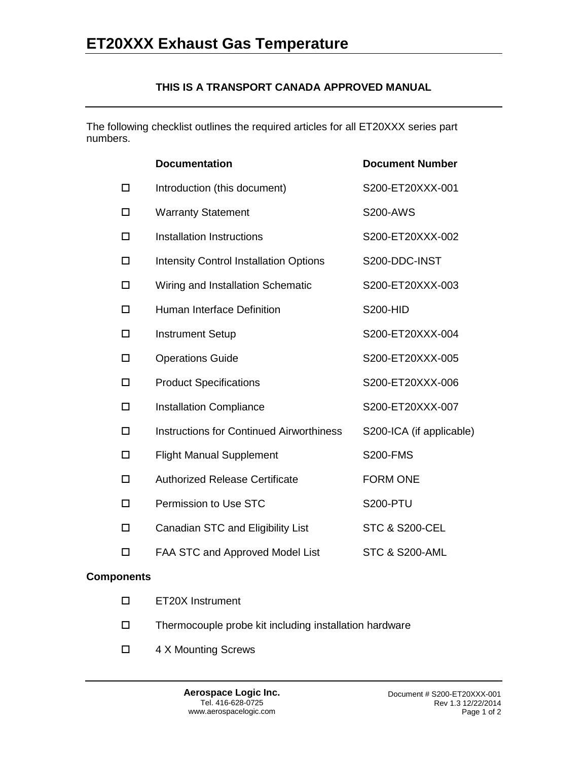## **THIS IS A TRANSPORT CANADA APPROVED MANUAL**

The following checklist outlines the required articles for all ET20XXX series part numbers.

|        | <b>Documentation</b>                            | <b>Document Number</b>    |
|--------|-------------------------------------------------|---------------------------|
| □      | Introduction (this document)                    | S200-ET20XXX-001          |
| □      | <b>Warranty Statement</b>                       | <b>S200-AWS</b>           |
| □      | <b>Installation Instructions</b>                | S200-ET20XXX-002          |
| □      | <b>Intensity Control Installation Options</b>   | S200-DDC-INST             |
| □      | Wiring and Installation Schematic               | S200-ET20XXX-003          |
| □      | <b>Human Interface Definition</b>               | <b>S200-HID</b>           |
| □      | <b>Instrument Setup</b>                         | S200-ET20XXX-004          |
| □      | <b>Operations Guide</b>                         | S200-ET20XXX-005          |
| □      | <b>Product Specifications</b>                   | S200-ET20XXX-006          |
| □      | <b>Installation Compliance</b>                  | S200-ET20XXX-007          |
| □      | <b>Instructions for Continued Airworthiness</b> | S200-ICA (if applicable)  |
| $\Box$ | <b>Flight Manual Supplement</b>                 | <b>S200-FMS</b>           |
| □      | <b>Authorized Release Certificate</b>           | <b>FORM ONE</b>           |
| □      | Permission to Use STC                           | <b>S200-PTU</b>           |
| □      | Canadian STC and Eligibility List               | <b>STC &amp; S200-CEL</b> |
| $\Box$ | FAA STC and Approved Model List                 | <b>STC &amp; S200-AML</b> |

#### **Components**

- ET20X Instrument
- Thermocouple probe kit including installation hardware
- □ 4 X Mounting Screws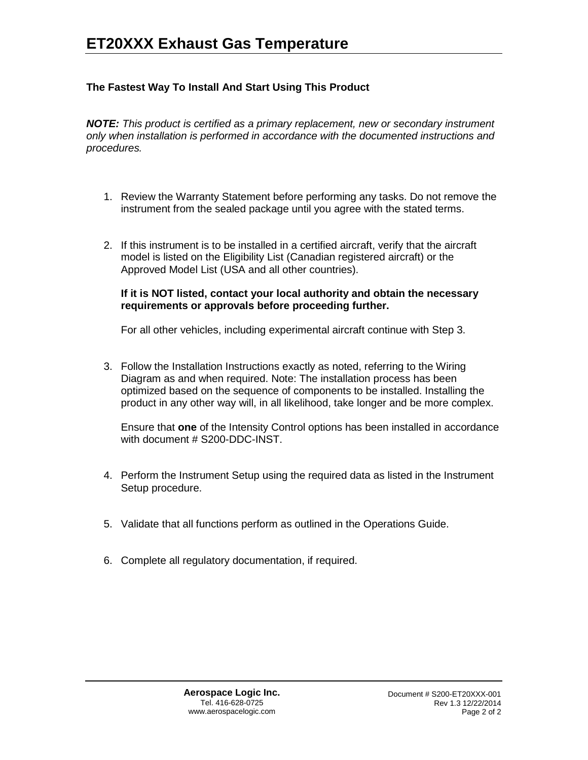# **The Fastest Way To Install And Start Using This Product**

*NOTE: This product is certified as a primary replacement, new or secondary instrument only when installation is performed in accordance with the documented instructions and procedures.*

- 1. Review the Warranty Statement before performing any tasks. Do not remove the instrument from the sealed package until you agree with the stated terms.
- 2. If this instrument is to be installed in a certified aircraft, verify that the aircraft model is listed on the Eligibility List (Canadian registered aircraft) or the Approved Model List (USA and all other countries).

#### **If it is NOT listed, contact your local authority and obtain the necessary requirements or approvals before proceeding further.**

For all other vehicles, including experimental aircraft continue with Step 3.

3. Follow the Installation Instructions exactly as noted, referring to the Wiring Diagram as and when required. Note: The installation process has been optimized based on the sequence of components to be installed. Installing the product in any other way will, in all likelihood, take longer and be more complex.

Ensure that **one** of the Intensity Control options has been installed in accordance with document # S200-DDC-INST.

- 4. Perform the Instrument Setup using the required data as listed in the Instrument Setup procedure.
- 5. Validate that all functions perform as outlined in the Operations Guide.
- 6. Complete all regulatory documentation, if required.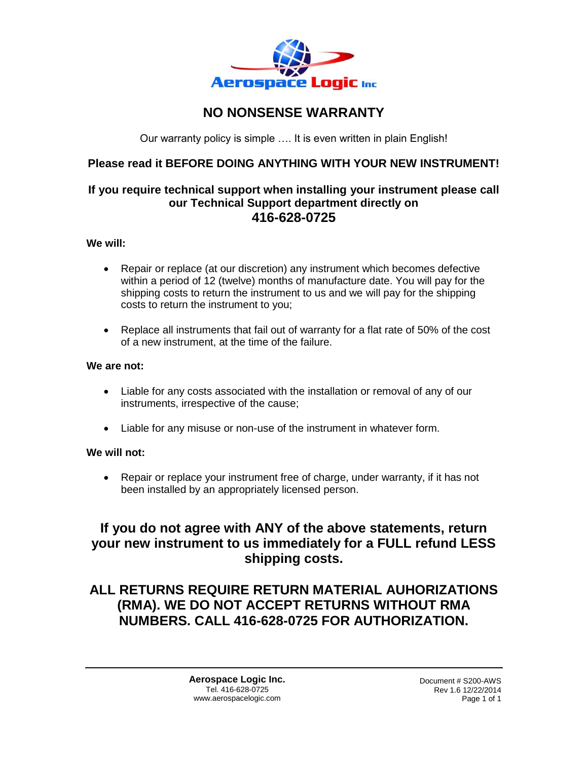

# **NO NONSENSE WARRANTY**

Our warranty policy is simple …. It is even written in plain English!

# **Please read it BEFORE DOING ANYTHING WITH YOUR NEW INSTRUMENT!**

# **If you require technical support when installing your instrument please call our Technical Support department directly on 416-628-0725**

#### **We will:**

- Repair or replace (at our discretion) any instrument which becomes defective within a period of 12 (twelve) months of manufacture date. You will pay for the shipping costs to return the instrument to us and we will pay for the shipping costs to return the instrument to you;
- Replace all instruments that fail out of warranty for a flat rate of 50% of the cost of a new instrument, at the time of the failure.

#### **We are not:**

- Liable for any costs associated with the installation or removal of any of our instruments, irrespective of the cause;
- Liable for any misuse or non-use of the instrument in whatever form.

## **We will not:**

• Repair or replace your instrument free of charge, under warranty, if it has not been installed by an appropriately licensed person.

# **If you do not agree with ANY of the above statements, return your new instrument to us immediately for a FULL refund LESS shipping costs.**

# **ALL RETURNS REQUIRE RETURN MATERIAL AUHORIZATIONS (RMA). WE DO NOT ACCEPT RETURNS WITHOUT RMA NUMBERS. CALL 416-628-0725 FOR AUTHORIZATION.**

**Aerospace Logic Inc.** Tel. 416-628-0725 www.aerospacelogic.com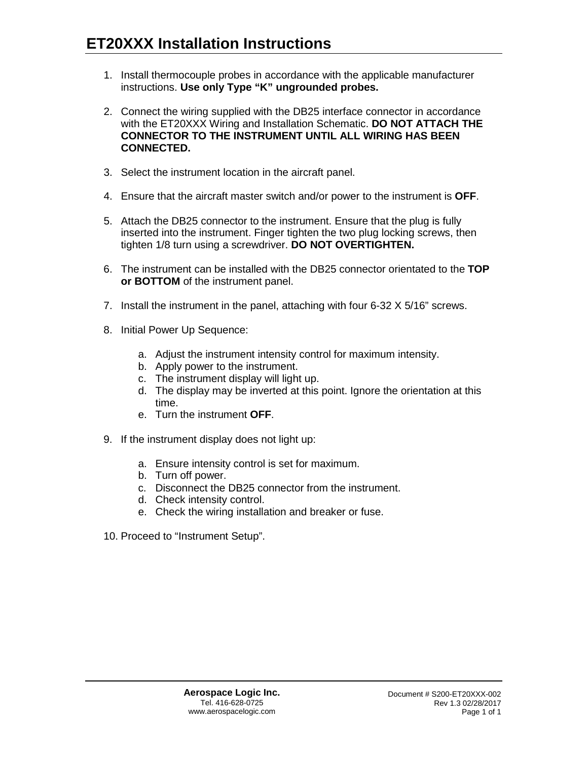- 1. Install thermocouple probes in accordance with the applicable manufacturer instructions. **Use only Type "K" ungrounded probes.**
- 2. Connect the wiring supplied with the DB25 interface connector in accordance with the ET20XXX Wiring and Installation Schematic. **DO NOT ATTACH THE CONNECTOR TO THE INSTRUMENT UNTIL ALL WIRING HAS BEEN CONNECTED.**
- 3. Select the instrument location in the aircraft panel.
- 4. Ensure that the aircraft master switch and/or power to the instrument is **OFF**.
- 5. Attach the DB25 connector to the instrument. Ensure that the plug is fully inserted into the instrument. Finger tighten the two plug locking screws, then tighten 1/8 turn using a screwdriver. **DO NOT OVERTIGHTEN.**
- 6. The instrument can be installed with the DB25 connector orientated to the **TOP or BOTTOM** of the instrument panel.
- 7. Install the instrument in the panel, attaching with four 6-32 X 5/16" screws.
- 8. Initial Power Up Sequence:
	- a. Adjust the instrument intensity control for maximum intensity.
	- b. Apply power to the instrument.
	- c. The instrument display will light up.
	- d. The display may be inverted at this point. Ignore the orientation at this time.
	- e. Turn the instrument **OFF**.
- 9. If the instrument display does not light up:
	- a. Ensure intensity control is set for maximum.
	- b. Turn off power.
	- c. Disconnect the DB25 connector from the instrument.
	- d. Check intensity control.
	- e. Check the wiring installation and breaker or fuse.
- 10. Proceed to "Instrument Setup".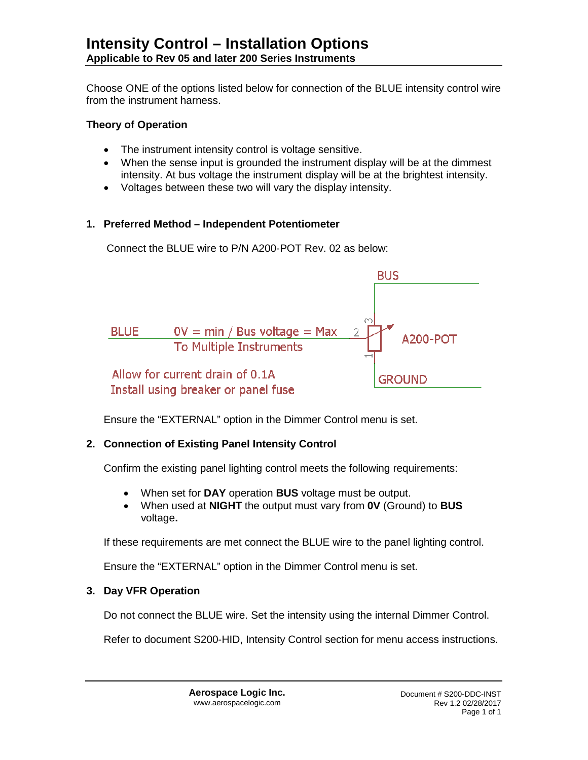Choose ONE of the options listed below for connection of the BLUE intensity control wire from the instrument harness.

## **Theory of Operation**

- The instrument intensity control is voltage sensitive.
- When the sense input is grounded the instrument display will be at the dimmest intensity. At bus voltage the instrument display will be at the brightest intensity.
- Voltages between these two will vary the display intensity.

## **1. Preferred Method – Independent Potentiometer**

Connect the BLUE wire to P/N A200-POT Rev. 02 as below:



Ensure the "EXTERNAL" option in the Dimmer Control menu is set.

# **2. Connection of Existing Panel Intensity Control**

Confirm the existing panel lighting control meets the following requirements:

- When set for **DAY** operation **BUS** voltage must be output.
- When used at **NIGHT** the output must vary from **0V** (Ground) to **BUS**  voltage**.**

If these requirements are met connect the BLUE wire to the panel lighting control.

Ensure the "EXTERNAL" option in the Dimmer Control menu is set.

# **3. Day VFR Operation**

Do not connect the BLUE wire. Set the intensity using the internal Dimmer Control.

Refer to document S200-HID, Intensity Control section for menu access instructions.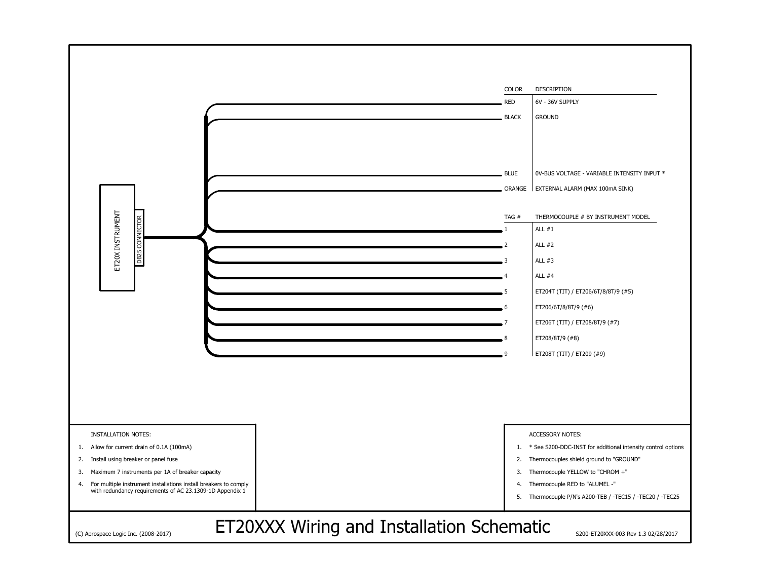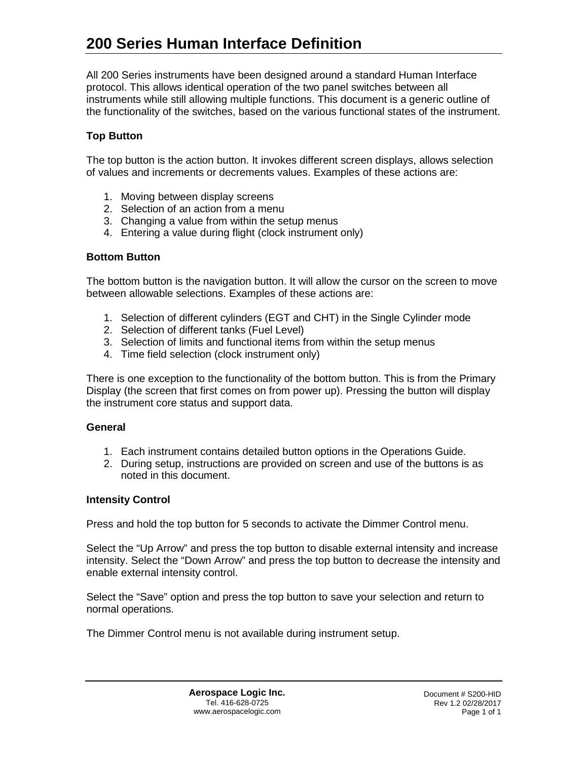All 200 Series instruments have been designed around a standard Human Interface protocol. This allows identical operation of the two panel switches between all instruments while still allowing multiple functions. This document is a generic outline of the functionality of the switches, based on the various functional states of the instrument.

## **Top Button**

The top button is the action button. It invokes different screen displays, allows selection of values and increments or decrements values. Examples of these actions are:

- 1. Moving between display screens
- 2. Selection of an action from a menu
- 3. Changing a value from within the setup menus
- 4. Entering a value during flight (clock instrument only)

#### **Bottom Button**

The bottom button is the navigation button. It will allow the cursor on the screen to move between allowable selections. Examples of these actions are:

- 1. Selection of different cylinders (EGT and CHT) in the Single Cylinder mode
- 2. Selection of different tanks (Fuel Level)
- 3. Selection of limits and functional items from within the setup menus
- 4. Time field selection (clock instrument only)

There is one exception to the functionality of the bottom button. This is from the Primary Display (the screen that first comes on from power up). Pressing the button will display the instrument core status and support data.

#### **General**

- 1. Each instrument contains detailed button options in the Operations Guide.
- 2. During setup, instructions are provided on screen and use of the buttons is as noted in this document.

#### **Intensity Control**

Press and hold the top button for 5 seconds to activate the Dimmer Control menu.

Select the "Up Arrow" and press the top button to disable external intensity and increase intensity. Select the "Down Arrow" and press the top button to decrease the intensity and enable external intensity control.

Select the "Save" option and press the top button to save your selection and return to normal operations.

The Dimmer Control menu is not available during instrument setup.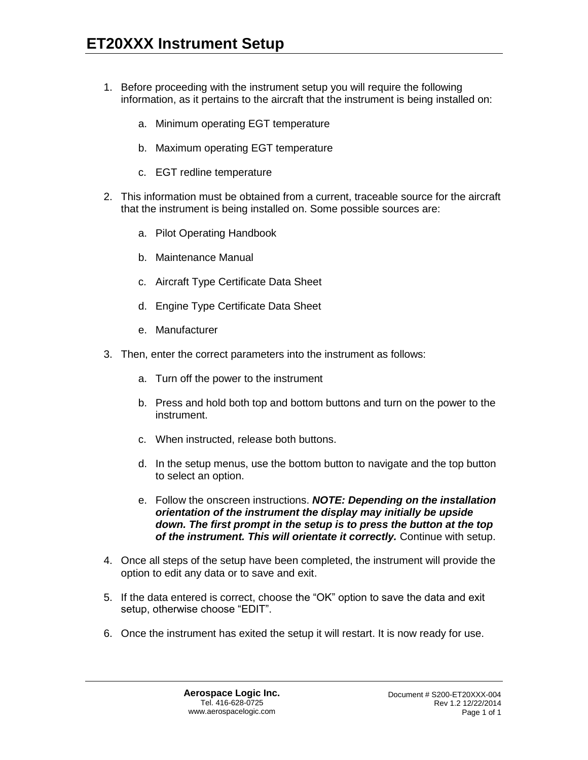- 1. Before proceeding with the instrument setup you will require the following information, as it pertains to the aircraft that the instrument is being installed on:
	- a. Minimum operating EGT temperature
	- b. Maximum operating EGT temperature
	- c. EGT redline temperature
- 2. This information must be obtained from a current, traceable source for the aircraft that the instrument is being installed on. Some possible sources are:
	- a. Pilot Operating Handbook
	- b. Maintenance Manual
	- c. Aircraft Type Certificate Data Sheet
	- d. Engine Type Certificate Data Sheet
	- e. Manufacturer
- 3. Then, enter the correct parameters into the instrument as follows:
	- a. Turn off the power to the instrument
	- b. Press and hold both top and bottom buttons and turn on the power to the instrument.
	- c. When instructed, release both buttons.
	- d. In the setup menus, use the bottom button to navigate and the top button to select an option.
	- e. Follow the onscreen instructions. *NOTE: Depending on the installation orientation of the instrument the display may initially be upside down. The first prompt in the setup is to press the button at the top of the instrument. This will orientate it correctly.* Continue with setup.
- 4. Once all steps of the setup have been completed, the instrument will provide the option to edit any data or to save and exit.
- 5. If the data entered is correct, choose the "OK" option to save the data and exit setup, otherwise choose "EDIT".
- 6. Once the instrument has exited the setup it will restart. It is now ready for use.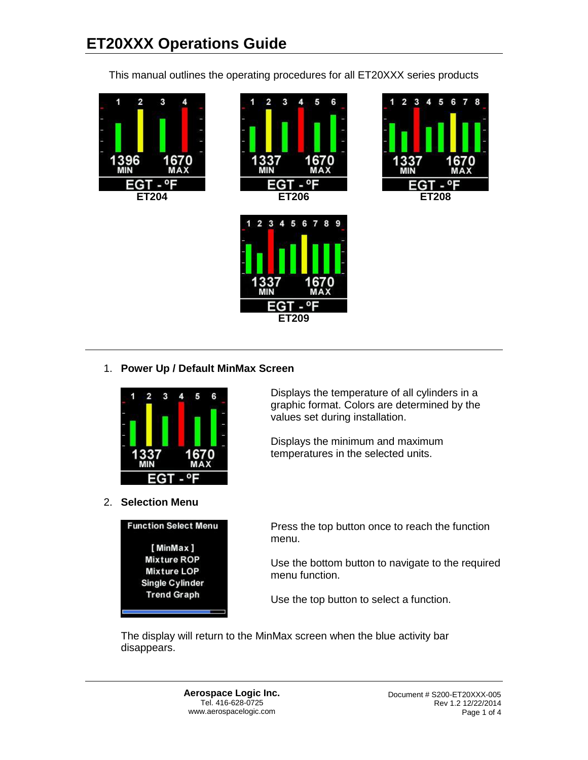This manual outlines the operating procedures for all ET20XXX series products





2 3 4 5 6 7 8 9



|   | U            |
|---|--------------|
| ŋ | <b>AX</b>    |
| M |              |
|   | <b>ET209</b> |

# 1. **Power Up / Default MinMax Screen**



2. **Selection Menu**



Displays the temperature of all cylinders in a graphic format. Colors are determined by the values set during installation.

Displays the minimum and maximum temperatures in the selected units.

Press the top button once to reach the function menu.

Use the bottom button to navigate to the required menu function.

Use the top button to select a function.

The display will return to the MinMax screen when the blue activity bar disappears.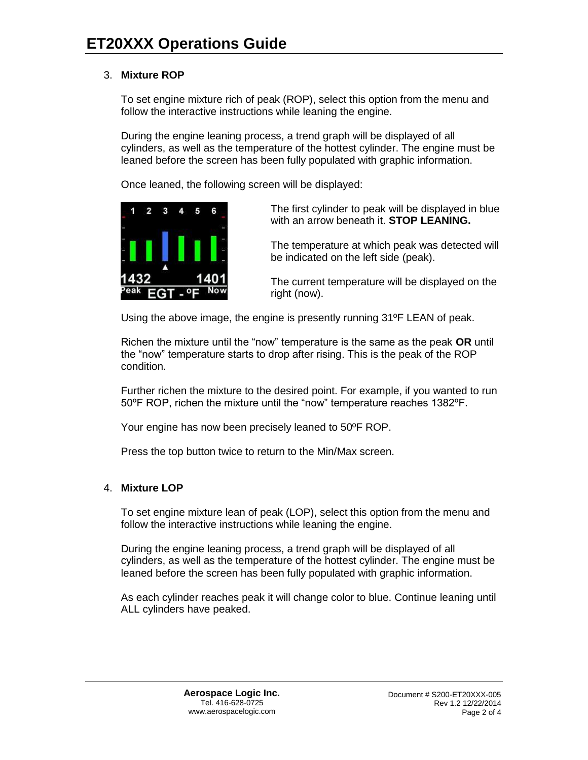## 3. **Mixture ROP**

To set engine mixture rich of peak (ROP), select this option from the menu and follow the interactive instructions while leaning the engine.

During the engine leaning process, a trend graph will be displayed of all cylinders, as well as the temperature of the hottest cylinder. The engine must be leaned before the screen has been fully populated with graphic information.

Once leaned, the following screen will be displayed:



The first cylinder to peak will be displayed in blue with an arrow beneath it. **STOP LEANING.**

The temperature at which peak was detected will be indicated on the left side (peak).

The current temperature will be displayed on the right (now).

Using the above image, the engine is presently running 31ºF LEAN of peak.

Richen the mixture until the "now" temperature is the same as the peak **OR** until the "now" temperature starts to drop after rising. This is the peak of the ROP condition.

Further richen the mixture to the desired point. For example, if you wanted to run 50ºF ROP, richen the mixture until the "now" temperature reaches 1382ºF.

Your engine has now been precisely leaned to 50ºF ROP.

Press the top button twice to return to the Min/Max screen.

## 4. **Mixture LOP**

To set engine mixture lean of peak (LOP), select this option from the menu and follow the interactive instructions while leaning the engine.

During the engine leaning process, a trend graph will be displayed of all cylinders, as well as the temperature of the hottest cylinder. The engine must be leaned before the screen has been fully populated with graphic information.

As each cylinder reaches peak it will change color to blue. Continue leaning until ALL cylinders have peaked.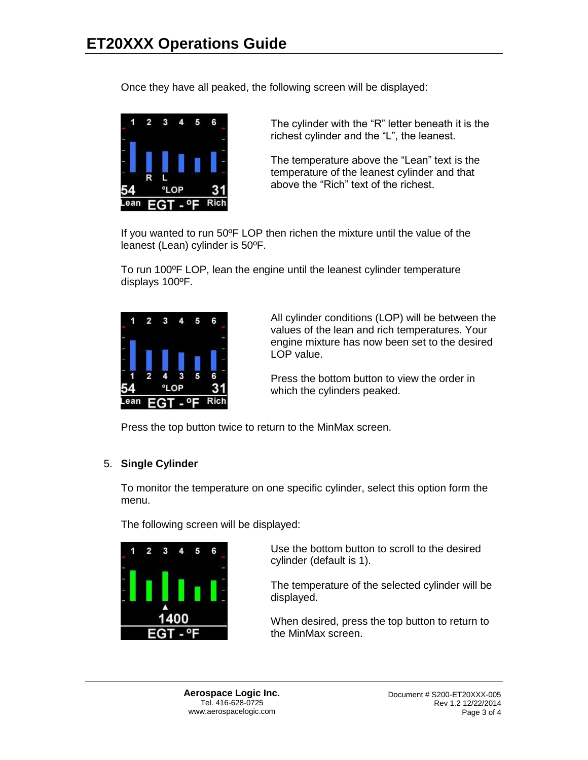Once they have all peaked, the following screen will be displayed:



The cylinder with the "R" letter beneath it is the richest cylinder and the "L", the leanest.

The temperature above the "Lean" text is the temperature of the leanest cylinder and that above the "Rich" text of the richest.

If you wanted to run 50ºF LOP then richen the mixture until the value of the leanest (Lean) cylinder is 50ºF.

To run 100ºF LOP, lean the engine until the leanest cylinder temperature displays 100ºF.



All cylinder conditions (LOP) will be between the values of the lean and rich temperatures. Your engine mixture has now been set to the desired LOP value.

Press the bottom button to view the order in which the cylinders peaked.

Press the top button twice to return to the MinMax screen.

## 5. **Single Cylinder**

To monitor the temperature on one specific cylinder, select this option form the menu.

The following screen will be displayed:



Use the bottom button to scroll to the desired cylinder (default is 1).

The temperature of the selected cylinder will be displayed.

When desired, press the top button to return to the MinMax screen.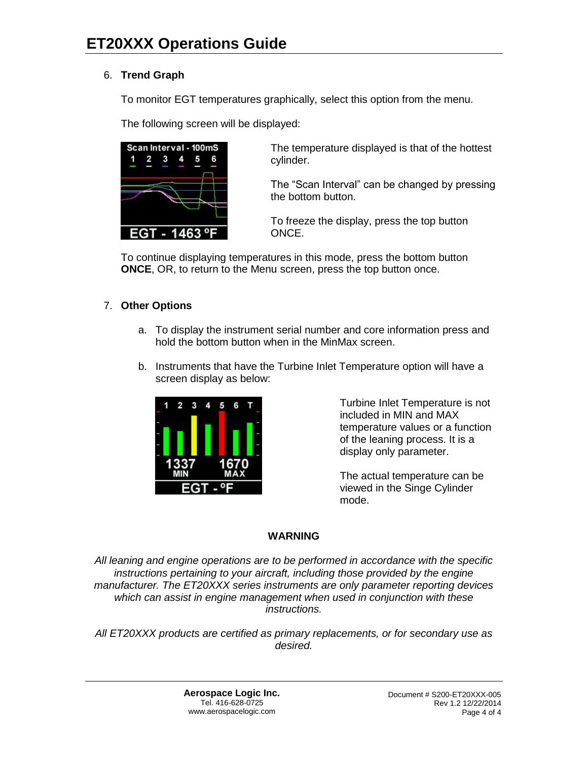# 6. **Trend Graph**

To monitor EGT temperatures graphically, select this option from the menu.

The following screen will be displayed:



The temperature displayed is that of the hottest cylinder.

The "Scan Interval" can be changed by pressing the bottom button.

To freeze the display, press the top button ONCE.

To continue displaying temperatures in this mode, press the bottom button **ONCE**, OR, to return to the Menu screen, press the top button once.

## 7. **Other Options**

- a. To display the instrument serial number and core information press and hold the bottom button when in the MinMax screen.
- b. Instruments that have the Turbine Inlet Temperature option will have a screen display as below:



Turbine Inlet Temperature is not included in MIN and MAX temperature values or a function of the leaning process. It is a display only parameter.

The actual temperature can be viewed in the Singe Cylinder mode.

## **WARNING**

*All leaning and engine operations are to be performed in accordance with the specific instructions pertaining to your aircraft, including those provided by the engine manufacturer. The ET20XXX series instruments are only parameter reporting devices which can assist in engine management when used in conjunction with these instructions.*

*All ET20XXX products are certified as primary replacements, or for secondary use as desired.*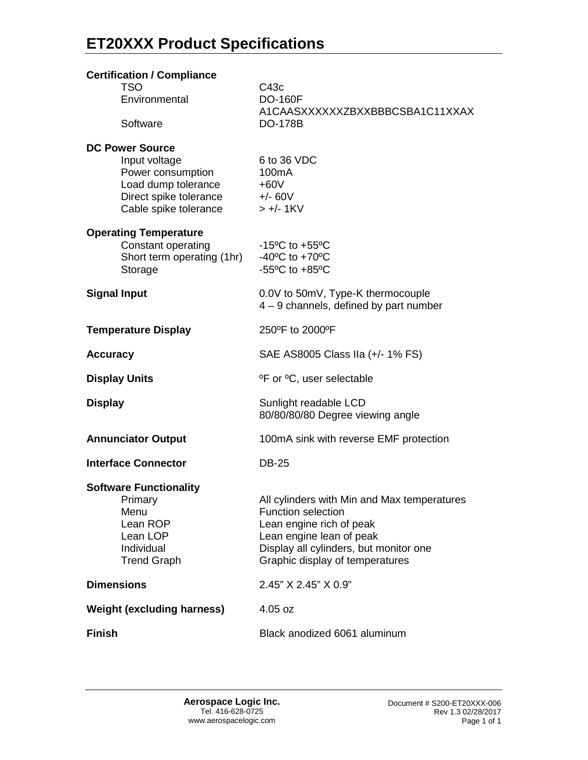| <b>Certification / Compliance</b>                                                                                    |                                                                                                                                                                                                               |
|----------------------------------------------------------------------------------------------------------------------|---------------------------------------------------------------------------------------------------------------------------------------------------------------------------------------------------------------|
| <b>TSO</b><br>Environmental                                                                                          | C43c<br><b>DO-160F</b><br>A1CAASXXXXXXZBXXBBBCSBA1C11XXAX                                                                                                                                                     |
| Software                                                                                                             | <b>DO-178B</b>                                                                                                                                                                                                |
| <b>DC Power Source</b>                                                                                               |                                                                                                                                                                                                               |
| Input voltage<br>Power consumption<br>Load dump tolerance<br>Direct spike tolerance +/- 60V<br>Cable spike tolerance | 6 to 36 VDC<br>100 <sub>m</sub> A<br>$+60V$<br>$> +/- 1KV$                                                                                                                                                    |
| <b>Operating Temperature</b><br>Constant operating                                                                   | $-15^{\circ}$ C to $+55^{\circ}$ C                                                                                                                                                                            |
| Short term operating (1hr)<br>Storage                                                                                | -40 $^{\circ}$ C to +70 $^{\circ}$ C<br>-55 $\mathrm{^{\circ}C}$ to +85 $\mathrm{^{\circ}C}$                                                                                                                  |
| <b>Signal Input</b>                                                                                                  | 0.0V to 50mV, Type-K thermocouple<br>4 - 9 channels, defined by part number                                                                                                                                   |
| <b>Temperature Display</b>                                                                                           | 250°F to 2000°F                                                                                                                                                                                               |
| <b>Accuracy</b>                                                                                                      | SAE AS8005 Class IIa (+/- 1% FS)                                                                                                                                                                              |
| <b>Display Units</b>                                                                                                 | <sup>o</sup> F or <sup>o</sup> C, user selectable                                                                                                                                                             |
| <b>Display</b>                                                                                                       | Sunlight readable LCD<br>80/80/80/80 Degree viewing angle                                                                                                                                                     |
| <b>Annunciator Output</b>                                                                                            | 100mA sink with reverse EMF protection                                                                                                                                                                        |
| <b>Interface Connector</b>                                                                                           | <b>DB-25</b>                                                                                                                                                                                                  |
| <b>Software Functionality</b><br>Primary<br>Menu<br>Lean ROP<br>Lean LOP<br>Individual<br><b>Trend Graph</b>         | All cylinders with Min and Max temperatures<br><b>Function selection</b><br>Lean engine rich of peak<br>Lean engine lean of peak<br>Display all cylinders, but monitor one<br>Graphic display of temperatures |
| <b>Dimensions</b>                                                                                                    | 2.45" X 2.45" X 0.9"                                                                                                                                                                                          |
| <b>Weight (excluding harness)</b>                                                                                    | $4.05$ oz                                                                                                                                                                                                     |
| <b>Finish</b>                                                                                                        | Black anodized 6061 aluminum                                                                                                                                                                                  |